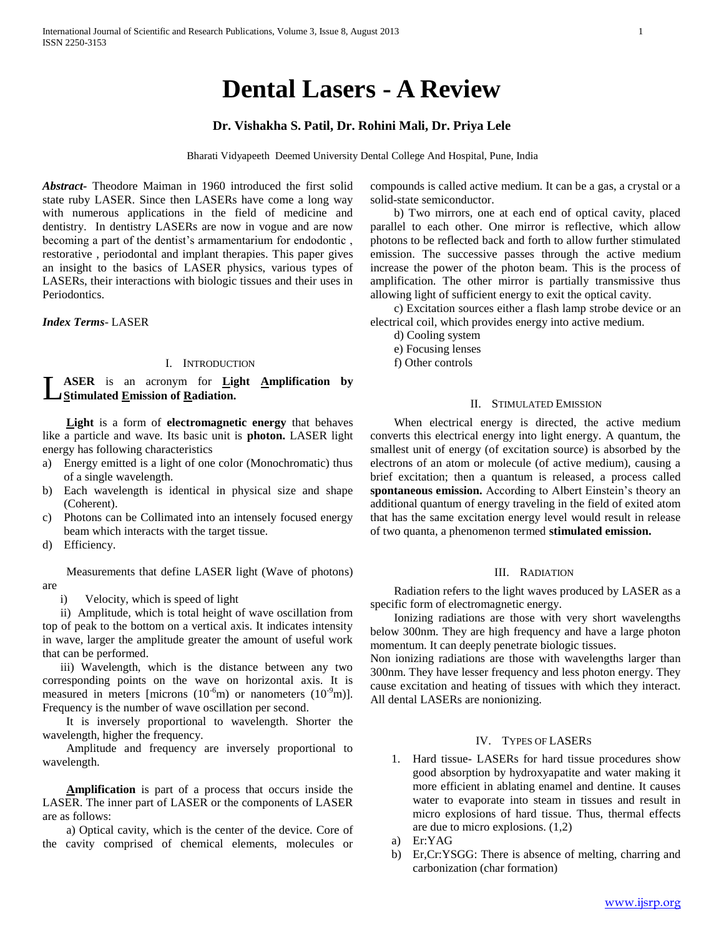# **Dental Lasers - A Review**

# **Dr. Vishakha S. Patil, Dr. Rohini Mali, Dr. Priya Lele**

Bharati Vidyapeeth Deemed University Dental College And Hospital, Pune, India

*Abstract***-** Theodore Maiman in 1960 introduced the first solid state ruby LASER. Since then LASERs have come a long way with numerous applications in the field of medicine and dentistry. In dentistry LASERs are now in vogue and are now becoming a part of the dentist's armamentarium for endodontic , restorative , periodontal and implant therapies. This paper gives an insight to the basics of LASER physics, various types of LASERs, their interactions with biologic tissues and their uses in Periodontics.

*Index Terms*- LASER

## I. INTRODUCTION

#### **ASER** is an acronym for **Light Amplification by Stimulated Emission of Radiation.** L

 **Light** is a form of **electromagnetic energy** that behaves like a particle and wave. Its basic unit is **photon.** LASER light energy has following characteristics

- a) Energy emitted is a light of one color (Monochromatic) thus of a single wavelength.
- b) Each wavelength is identical in physical size and shape (Coherent).
- c) Photons can be Collimated into an intensely focused energy beam which interacts with the target tissue.
- d) Efficiency.

Measurements that define LASER light (Wave of photons) are

i) Velocity, which is speed of light

 ii) Amplitude, which is total height of wave oscillation from top of peak to the bottom on a vertical axis. It indicates intensity in wave, larger the amplitude greater the amount of useful work that can be performed.

 iii) Wavelength, which is the distance between any two corresponding points on the wave on horizontal axis. It is measured in meters [microns  $(10^{-6}m)$  or nanometers  $(10^{-9}m)$ ]. Frequency is the number of wave oscillation per second.

It is inversely proportional to wavelength. Shorter the wavelength, higher the frequency.

Amplitude and frequency are inversely proportional to wavelength.

 **Amplification** is part of a process that occurs inside the LASER. The inner part of LASER or the components of LASER are as follows:

a) Optical cavity, which is the center of the device. Core of the cavity comprised of chemical elements, molecules or compounds is called active medium. It can be a gas, a crystal or a solid-state semiconductor.

b) Two mirrors, one at each end of optical cavity, placed parallel to each other. One mirror is reflective, which allow photons to be reflected back and forth to allow further stimulated emission. The successive passes through the active medium increase the power of the photon beam. This is the process of amplification. The other mirror is partially transmissive thus allowing light of sufficient energy to exit the optical cavity.

c) Excitation sources either a flash lamp strobe device or an electrical coil, which provides energy into active medium.

- d) Cooling system
- e) Focusing lenses
- f) Other controls

## II. STIMULATED EMISSION

When electrical energy is directed, the active medium converts this electrical energy into light energy. A quantum, the smallest unit of energy (of excitation source) is absorbed by the electrons of an atom or molecule (of active medium), causing a brief excitation; then a quantum is released, a process called **spontaneous emission.** According to Albert Einstein's theory an additional quantum of energy traveling in the field of exited atom that has the same excitation energy level would result in release of two quanta, a phenomenon termed **stimulated emission.**

# III. RADIATION

Radiation refers to the light waves produced by LASER as a specific form of electromagnetic energy.

Ionizing radiations are those with very short wavelengths below 300nm. They are high frequency and have a large photon momentum. It can deeply penetrate biologic tissues.

Non ionizing radiations are those with wavelengths larger than 300nm. They have lesser frequency and less photon energy. They cause excitation and heating of tissues with which they interact. All dental LASERs are nonionizing.

# IV. TYPES OF LASERS

- 1. Hard tissue- LASERs for hard tissue procedures show good absorption by hydroxyapatite and water making it more efficient in ablating enamel and dentine. It causes water to evaporate into steam in tissues and result in micro explosions of hard tissue. Thus, thermal effects are due to micro explosions. (1,2)
- a) Er:YAG
- b) Er,Cr:YSGG: There is absence of melting, charring and carbonization (char formation)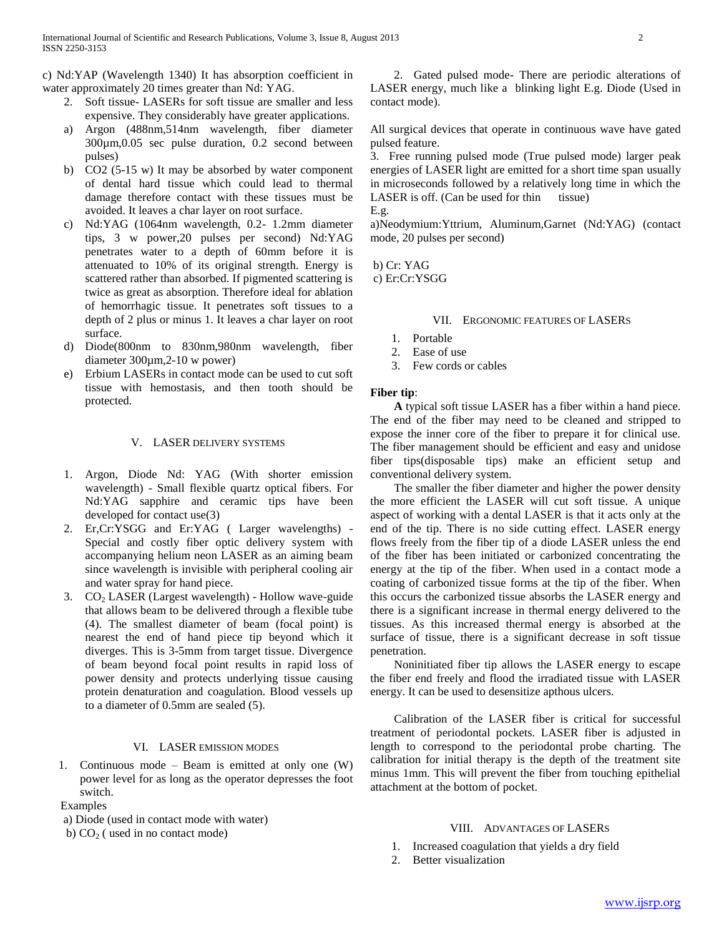c) Nd:YAP (Wavelength 1340) It has absorption coefficient in water approximately 20 times greater than Nd: YAG.

- 2. Soft tissue- LASERs for soft tissue are smaller and less expensive. They considerably have greater applications.
- a) Argon (488nm,514nm wavelength, fiber diameter 300µm,0.05 sec pulse duration, 0.2 second between pulses)
- b) CO2 (5-15 w) It may be absorbed by water component of dental hard tissue which could lead to thermal damage therefore contact with these tissues must be avoided. It leaves a char layer on root surface.
- c) Nd:YAG (1064nm wavelength, 0.2- 1.2mm diameter tips, 3 w power,20 pulses per second) Nd:YAG penetrates water to a depth of 60mm before it is attenuated to 10% of its original strength. Energy is scattered rather than absorbed. If pigmented scattering is twice as great as absorption. Therefore ideal for ablation of hemorrhagic tissue. It penetrates soft tissues to a depth of 2 plus or minus 1. It leaves a char layer on root surface.
- d) Diode(800nm to 830nm,980nm wavelength, fiber diameter 300µm,2-10 w power)
- e) Erbium LASERs in contact mode can be used to cut soft tissue with hemostasis, and then tooth should be protected.

## V. LASER DELIVERY SYSTEMS

- 1. Argon, Diode Nd: YAG (With shorter emission wavelength) - Small flexible quartz optical fibers. For Nd:YAG sapphire and ceramic tips have been developed for contact use(3)
- 2. Er,Cr:YSGG and Er:YAG ( Larger wavelengths) Special and costly fiber optic delivery system with accompanying helium neon LASER as an aiming beam since wavelength is invisible with peripheral cooling air and water spray for hand piece.
- 3. CO<sup>2</sup> LASER (Largest wavelength) Hollow wave-guide that allows beam to be delivered through a flexible tube (4). The smallest diameter of beam (focal point) is nearest the end of hand piece tip beyond which it diverges. This is 3-5mm from target tissue. Divergence of beam beyond focal point results in rapid loss of power density and protects underlying tissue causing protein denaturation and coagulation. Blood vessels up to a diameter of 0.5mm are sealed (5).

## VI. LASER EMISSION MODES

1. Continuous mode – Beam is emitted at only one (W) power level for as long as the operator depresses the foot switch.

# Examples

- a) Diode (used in contact mode with water)
- b)  $CO<sub>2</sub>$  (used in no contact mode)

2. Gated pulsed mode- There are periodic alterations of LASER energy, much like a blinking light E.g. Diode (Used in contact mode).

All surgical devices that operate in continuous wave have gated pulsed feature.

3. Free running pulsed mode (True pulsed mode) larger peak energies of LASER light are emitted for a short time span usually in microseconds followed by a relatively long time in which the LASER is off. (Can be used for thin tissue)

E.g.

a)Neodymium:Yttrium, Aluminum,Garnet (Nd:YAG) (contact mode, 20 pulses per second)

b) Cr: YAG c) Er:Cr:YSGG

## VII. ERGONOMIC FEATURES OF LASERS

- 1. Portable
- 2. Ease of use
- 3. Few cords or cables

### **Fiber tip**:

 **A** typical soft tissue LASER has a fiber within a hand piece. The end of the fiber may need to be cleaned and stripped to expose the inner core of the fiber to prepare it for clinical use. The fiber management should be efficient and easy and unidose fiber tips(disposable tips) make an efficient setup and conventional delivery system.

The smaller the fiber diameter and higher the power density the more efficient the LASER will cut soft tissue. A unique aspect of working with a dental LASER is that it acts only at the end of the tip. There is no side cutting effect. LASER energy flows freely from the fiber tip of a diode LASER unless the end of the fiber has been initiated or carbonized concentrating the energy at the tip of the fiber. When used in a contact mode a coating of carbonized tissue forms at the tip of the fiber. When this occurs the carbonized tissue absorbs the LASER energy and there is a significant increase in thermal energy delivered to the tissues. As this increased thermal energy is absorbed at the surface of tissue, there is a significant decrease in soft tissue penetration.

Noninitiated fiber tip allows the LASER energy to escape the fiber end freely and flood the irradiated tissue with LASER energy. It can be used to desensitize apthous ulcers.

Calibration of the LASER fiber is critical for successful treatment of periodontal pockets. LASER fiber is adjusted in length to correspond to the periodontal probe charting. The calibration for initial therapy is the depth of the treatment site minus 1mm. This will prevent the fiber from touching epithelial attachment at the bottom of pocket.

## VIII. ADVANTAGES OF LASERS

- 1. Increased coagulation that yields a dry field
- 2. Better visualization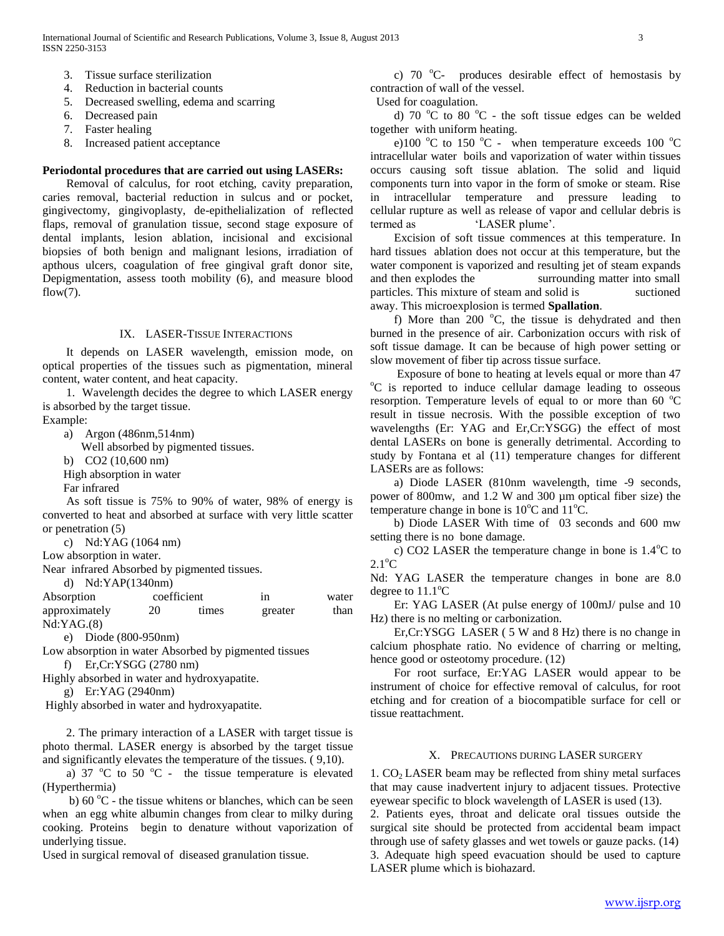- 3. Tissue surface sterilization
- 4. Reduction in bacterial counts
- 5. Decreased swelling, edema and scarring
- 6. Decreased pain
- 7. Faster healing
- 8. Increased patient acceptance

#### **Periodontal procedures that are carried out using LASERs:**

Removal of calculus, for root etching, cavity preparation, caries removal, bacterial reduction in sulcus and or pocket, gingivectomy, gingivoplasty, de-epithelialization of reflected flaps, removal of granulation tissue, second stage exposure of dental implants, lesion ablation, incisional and excisional biopsies of both benign and malignant lesions, irradiation of apthous ulcers, coagulation of free gingival graft donor site, Depigmentation, assess tooth mobility (6), and measure blood  $flow(7)$ .

#### IX. LASER-TISSUE INTERACTIONS

It depends on LASER wavelength, emission mode, on optical properties of the tissues such as pigmentation, mineral content, water content, and heat capacity.

1. Wavelength decides the degree to which LASER energy is absorbed by the target tissue.

Example:

a) Argon (486nm,514nm)

Well absorbed by pigmented tissues.

b) CO2 (10,600 nm)

High absorption in water

Far infrared

As soft tissue is 75% to 90% of water, 98% of energy is converted to heat and absorbed at surface with very little scatter or penetration (5)

c) Nd:YAG (1064 nm)

Low absorption in water.

Near infrared Absorbed by pigmented tissues.

d) Nd:YAP(1340nm)

| Absorption    | coefficient |       | 1n      | water |
|---------------|-------------|-------|---------|-------|
| approximately | 20          | times | greater | than  |
| Nd:YAG.(8)    |             |       |         |       |

e) Diode (800-950nm)

Low absorption in water Absorbed by pigmented tissues

f) Er,Cr:YSGG (2780 nm)

Highly absorbed in water and hydroxyapatite.

g) Er:YAG (2940nm)

Highly absorbed in water and hydroxyapatite.

2. The primary interaction of a LASER with target tissue is photo thermal. LASER energy is absorbed by the target tissue and significantly elevates the temperature of the tissues. ( 9,10).

a) 37  $\mathrm{^{\circ}C}$  to 50  $\mathrm{^{\circ}C}$  - the tissue temperature is elevated (Hyperthermia)

**b**) 60 °C - the tissue whitens or blanches, which can be seen when an egg white albumin changes from clear to milky during cooking. Proteins begin to denature without vaporization of underlying tissue.

Used in surgical removal of diseased granulation tissue.

c)  $70^{\circ}$ C- produces desirable effect of hemostasis by contraction of wall of the vessel.

Used for coagulation.

d) 70 °C to 80 °C - the soft tissue edges can be welded together with uniform heating.

e)100  $\mathrm{^{\circ}C}$  to 150  $\mathrm{^{\circ}C}$  - when temperature exceeds 100  $\mathrm{^{\circ}C}$ intracellular water boils and vaporization of water within tissues occurs causing soft tissue ablation. The solid and liquid components turn into vapor in the form of smoke or steam. Rise in intracellular temperature and pressure leading to cellular rupture as well as release of vapor and cellular debris is termed as 'LASER plume'.

Excision of soft tissue commences at this temperature. In hard tissues ablation does not occur at this temperature, but the water component is vaporized and resulting jet of steam expands and then explodes the surrounding matter into small particles. This mixture of steam and solid is suctioned away. This microexplosion is termed **Spallation**.

f) More than  $200^{\circ}$ C, the tissue is dehydrated and then burned in the presence of air. Carbonization occurs with risk of soft tissue damage. It can be because of high power setting or slow movement of fiber tip across tissue surface.

Exposure of bone to heating at levels equal or more than 47 <sup>o</sup>C is reported to induce cellular damage leading to osseous resorption. Temperature levels of equal to or more than 60 $\degree$ C result in tissue necrosis. With the possible exception of two wavelengths (Er: YAG and Er,Cr:YSGG) the effect of most dental LASERs on bone is generally detrimental. According to study by Fontana et al (11) temperature changes for different LASERs are as follows:

a) Diode LASER (810nm wavelength, time -9 seconds, power of 800mw, and 1.2 W and 300 µm optical fiber size) the temperature change in bone is  $10^{\circ}$ C and  $11^{\circ}$ C.

b) Diode LASER With time of 03 seconds and 600 mw setting there is no bone damage.

**c**) CO2 LASER the temperature change in bone is 1.4<sup>o</sup>C to  $2.1^{\circ}$ C

Nd: YAG LASER the temperature changes in bone are 8.0 degree to  $11.1^{\circ}$ C

Er: YAG LASER (At pulse energy of 100mJ/ pulse and 10 Hz) there is no melting or carbonization.

Er,Cr:YSGG LASER ( 5 W and 8 Hz) there is no change in calcium phosphate ratio. No evidence of charring or melting, hence good or osteotomy procedure. (12)

For root surface, Er:YAG LASER would appear to be instrument of choice for effective removal of calculus, for root etching and for creation of a biocompatible surface for cell or tissue reattachment.

### X. PRECAUTIONS DURING LASER SURGERY

1.  $CO<sub>2</sub> LASER$  beam may be reflected from shiny metal surfaces that may cause inadvertent injury to adjacent tissues. Protective eyewear specific to block wavelength of LASER is used (13).

2. Patients eyes, throat and delicate oral tissues outside the surgical site should be protected from accidental beam impact through use of safety glasses and wet towels or gauze packs. (14) 3. Adequate high speed evacuation should be used to capture LASER plume which is biohazard.